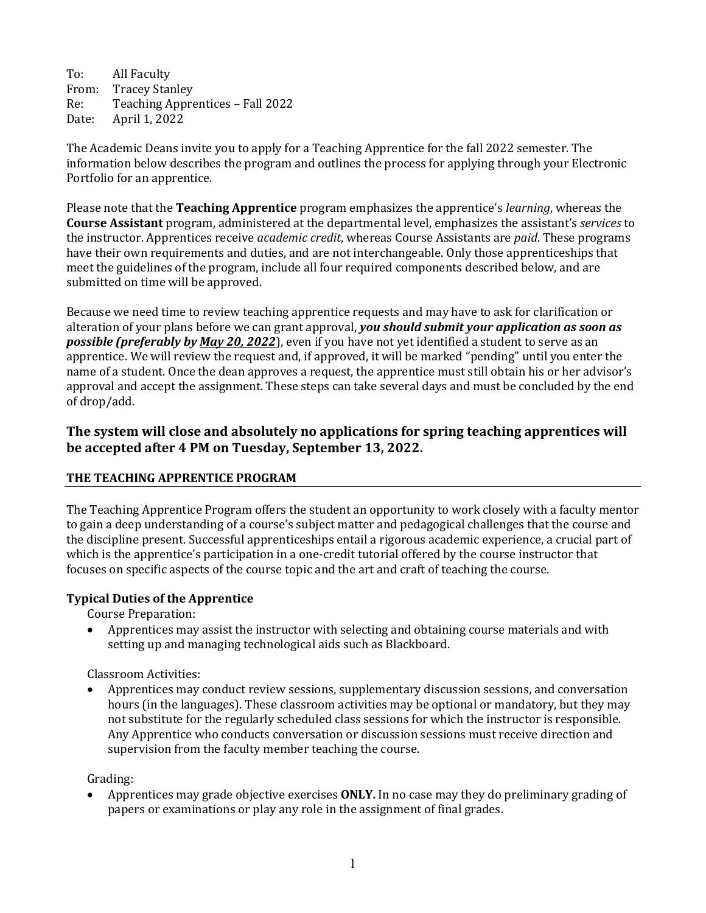To: All Faculty<br>From: Tracev Star From: Tracey Stanley<br>Re: Teaching Appre Re: Teaching Apprentices – Fall 2022<br>Date: April 1, 2022 April 1, 2022

The Academic Deans invite you to apply for a Teaching Apprentice for the fall 2022 semester. The information below describes the program and outlines the process for applying through your Electronic Portfolio for an apprentice.

Please note that the **Teaching Apprentice** program emphasizes the apprentice's *learning*, whereas the **Course Assistant** program, administered at the departmental level, emphasizes the assistant's *services* to the instructor. Apprentices receive *academic credit*, whereas Course Assistants are *paid*. These programs have their own requirements and duties, and are not interchangeable. Only those apprenticeships that meet the guidelines of the program, include all four required components described below, and are submitted on time will be approved.

Because we need time to review teaching apprentice requests and may have to ask for clarification or alteration of your plans before we can grant approval, *you should submit your application as soon as possible (preferably by May 20, 2022*), even if you have not yet identified a student to serve as an apprentice. We will review the request and, if approved, it will be marked "pending" until you enter the name of a student. Once the dean approves a request, the apprentice must still obtain his or her advisor's approval and accept the assignment. These steps can take several days and must be concluded by the end of drop/add.

# **The system will close and absolutely no applications for spring teaching apprentices will be accepted after 4 PM on Tuesday, September 13, 2022.**

## **THE TEACHING APPRENTICE PROGRAM**

The Teaching Apprentice Program offers the student an opportunity to work closely with a faculty mentor to gain a deep understanding of a course's subject matter and pedagogical challenges that the course and the discipline present. Successful apprenticeships entail a rigorous academic experience, a crucial part of which is the apprentice's participation in a one-credit tutorial offered by the course instructor that focuses on specific aspects of the course topic and the art and craft of teaching the course.

## **Typical Duties of the Apprentice**

Course Preparation:

• Apprentices may assist the instructor with selecting and obtaining course materials and with setting up and managing technological aids such as Blackboard.

## Classroom Activities:

• Apprentices may conduct review sessions, supplementary discussion sessions, and conversation hours (in the languages). These classroom activities may be optional or mandatory, but they may not substitute for the regularly scheduled class sessions for which the instructor is responsible. Any Apprentice who conducts conversation or discussion sessions must receive direction and supervision from the faculty member teaching the course.

Grading:

• Apprentices may grade objective exercises **ONLY.** In no case may they do preliminary grading of papers or examinations or play any role in the assignment of final grades.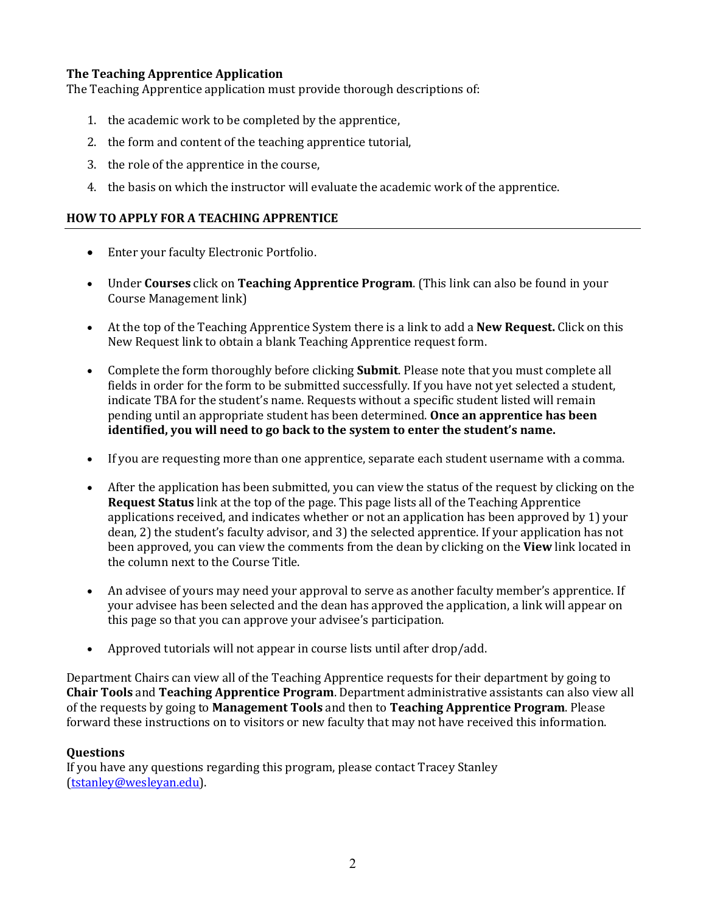# **The Teaching Apprentice Application**

The Teaching Apprentice application must provide thorough descriptions of:

- 1. the academic work to be completed by the apprentice,
- 2. the form and content of the teaching apprentice tutorial,
- 3. the role of the apprentice in the course,
- 4. the basis on which the instructor will evaluate the academic work of the apprentice.

# **HOW TO APPLY FOR A TEACHING APPRENTICE**

- Enter your faculty Electronic Portfolio.
- Under **Courses** click on **Teaching Apprentice Program**. (This link can also be found in your Course Management link)
- At the top of the Teaching Apprentice System there is a link to add a **New Request.** Click on this New Request link to obtain a blank Teaching Apprentice request form.
- Complete the form thoroughly before clicking **Submit**. Please note that you must complete all fields in order for the form to be submitted successfully. If you have not yet selected a student, indicate TBA for the student's name. Requests without a specific student listed will remain pending until an appropriate student has been determined. **Once an apprentice has been identified, you will need to go back to the system to enter the student's name.**
- If you are requesting more than one apprentice, separate each student username with a comma.
- After the application has been submitted, you can view the status of the request by clicking on the **Request Status** link at the top of the page. This page lists all of the Teaching Apprentice applications received, and indicates whether or not an application has been approved by 1) your dean, 2) the student's faculty advisor, and 3) the selected apprentice. If your application has not been approved, you can view the comments from the dean by clicking on the **View** link located in the column next to the Course Title.
- An advisee of yours may need your approval to serve as another faculty member's apprentice. If your advisee has been selected and the dean has approved the application, a link will appear on this page so that you can approve your advisee's participation.
- Approved tutorials will not appear in course lists until after drop/add.

Department Chairs can view all of the Teaching Apprentice requests for their department by going to **Chair Tools** and **Teaching Apprentice Program**. Department administrative assistants can also view all of the requests by going to **Management Tools** and then to **Teaching Apprentice Program**. Please forward these instructions on to visitors or new faculty that may not have received this information.

## **Questions**

If you have any questions regarding this program, please contact Tracey Stanley [\(tstanley@wesleyan.edu\)](mailto:tstanley@wesleyan.edu).